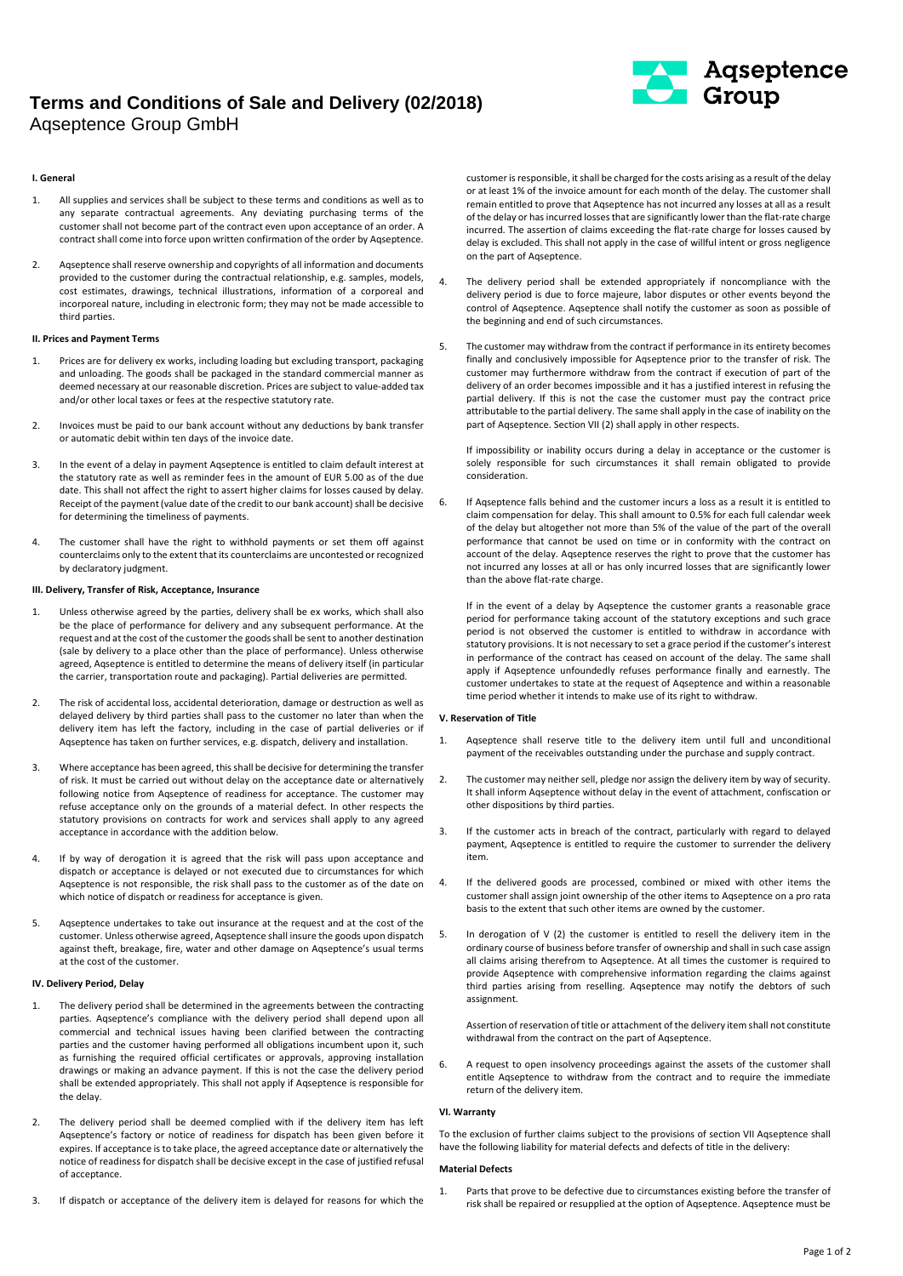# **Terms and Conditions of Sale and Delivery (02/2018)**  Aqseptence Group GmbH



### **I. General**

- 1. All supplies and services shall be subject to these terms and conditions as well as to any separate contractual agreements. Any deviating purchasing terms of the customer shall not become part of the contract even upon acceptance of an order. A contract shall come into force upon written confirmation of the order by Aqseptence.
- 2. Aqseptence shall reserve ownership and copyrights of all information and documents provided to the customer during the contractual relationship, e.g. samples, models, cost estimates, drawings, technical illustrations, information of a corporeal and incorporeal nature, including in electronic form; they may not be made accessible to third parties.

### **II. Prices and Payment Terms**

- 1. Prices are for delivery ex works, including loading but excluding transport, packaging and unloading. The goods shall be packaged in the standard commercial manner as deemed necessary at our reasonable discretion. Prices are subject to value-added tax and/or other local taxes or fees at the respective statutory rate.
- 2. Invoices must be paid to our bank account without any deductions by bank transfer or automatic debit within ten days of the invoice date.
- 3. In the event of a delay in payment Aqseptence is entitled to claim default interest at the statutory rate as well as reminder fees in the amount of EUR 5.00 as of the due date. This shall not affect the right to assert higher claims for losses caused by delay. Receipt of the payment (value date of the credit to our bank account) shall be decisive for determining the timeliness of payments.
- 4. The customer shall have the right to withhold payments or set them off against counterclaims only to the extent that its counterclaims are uncontested or recognized by declaratory judgment.

# **III. Delivery, Transfer of Risk, Acceptance, Insurance**

- 1. Unless otherwise agreed by the parties, delivery shall be ex works, which shall also be the place of performance for delivery and any subsequent performance. At the request and at the cost of the customer the goods shall be sent to another destination (sale by delivery to a place other than the place of performance). Unless otherwise agreed, Aqseptence is entitled to determine the means of delivery itself (in particular the carrier, transportation route and packaging). Partial deliveries are permitted.
- 2. The risk of accidental loss, accidental deterioration, damage or destruction as well as delayed delivery by third parties shall pass to the customer no later than when the delivery item has left the factory, including in the case of partial deliveries or if Aqseptence has taken on further services, e.g. dispatch, delivery and installation.
- 3. Where acceptance has been agreed, this shall be decisive for determining the transfer of risk. It must be carried out without delay on the acceptance date or alternatively following notice from Aqseptence of readiness for acceptance. The customer may refuse acceptance only on the grounds of a material defect. In other respects the statutory provisions on contracts for work and services shall apply to any agreed acceptance in accordance with the addition below.
- 4. If by way of derogation it is agreed that the risk will pass upon acceptance and dispatch or acceptance is delayed or not executed due to circumstances for which Aqseptence is not responsible, the risk shall pass to the customer as of the date on which notice of dispatch or readiness for acceptance is given.
- 5. Aqseptence undertakes to take out insurance at the request and at the cost of the customer. Unless otherwise agreed, Aqseptence shall insure the goods upon dispatch against theft, breakage, fire, water and other damage on Aqseptence's usual terms at the cost of the customer.

#### **IV. Delivery Period, Delay**

- 1. The delivery period shall be determined in the agreements between the contracting parties. Aqseptence's compliance with the delivery period shall depend upon all commercial and technical issues having been clarified between the contracting parties and the customer having performed all obligations incumbent upon it, such as furnishing the required official certificates or approvals, approving installation drawings or making an advance payment. If this is not the case the delivery period shall be extended appropriately. This shall not apply if Aqseptence is responsible for the delay.
- 2. The delivery period shall be deemed complied with if the delivery item has left Aqseptence's factory or notice of readiness for dispatch has been given before it expires. If acceptance is to take place, the agreed acceptance date or alternatively the notice of readiness for dispatch shall be decisive except in the case of justified refusal of acceptance.
- 3. If dispatch or acceptance of the delivery item is delayed for reasons for which the

customer is responsible, it shall be charged for the costs arising as a result of the delay or at least 1% of the invoice amount for each month of the delay. The customer shall remain entitled to prove that Aqseptence has not incurred any losses at all as a result of the delay or has incurred losses that are significantly lower than the flat-rate charge incurred. The assertion of claims exceeding the flat-rate charge for losses caused by delay is excluded. This shall not apply in the case of willful intent or gross negligence on the part of Aqseptence.

- 4. The delivery period shall be extended appropriately if noncompliance with the delivery period is due to force majeure, labor disputes or other events beyond the control of Aqseptence. Aqseptence shall notify the customer as soon as possible of the beginning and end of such circumstances.
- 5. The customer may withdraw from the contract if performance in its entirety becomes finally and conclusively impossible for Aqseptence prior to the transfer of risk. The customer may furthermore withdraw from the contract if execution of part of the delivery of an order becomes impossible and it has a justified interest in refusing the partial delivery. If this is not the case the customer must pay the contract price attributable to the partial delivery. The same shall apply in the case of inability on the part of Aqseptence. Section VII (2) shall apply in other respects.

If impossibility or inability occurs during a delay in acceptance or the customer is solely responsible for such circumstances it shall remain obligated to provide consideration.

6. If Aqseptence falls behind and the customer incurs a loss as a result it is entitled to claim compensation for delay. This shall amount to 0.5% for each full calendar week of the delay but altogether not more than 5% of the value of the part of the overall performance that cannot be used on time or in conformity with the contract on account of the delay. Agseptence reserves the right to prove that the customer has not incurred any losses at all or has only incurred losses that are significantly lower than the above flat-rate charge.

If in the event of a delay by Aqseptence the customer grants a reasonable grace period for performance taking account of the statutory exceptions and such grace period is not observed the customer is entitled to withdraw in accordance with statutory provisions. It is not necessary to set a grace period if the customer's interest in performance of the contract has ceased on account of the delay. The same shall apply if Aqseptence unfoundedly refuses performance finally and earnestly. The customer undertakes to state at the request of Aqseptence and within a reasonable time period whether it intends to make use of its right to withdraw.

## **V. Reservation of Title**

- 1. Aqseptence shall reserve title to the delivery item until full and unconditional payment of the receivables outstanding under the purchase and supply contract.
- 2. The customer may neither sell, pledge nor assign the delivery item by way of security. It shall inform Agseptence without delay in the event of attachment, confiscation or other dispositions by third parties.
- 3. If the customer acts in breach of the contract, particularly with regard to delayed payment, Aqseptence is entitled to require the customer to surrender the delivery item.
- 4. If the delivered goods are processed, combined or mixed with other items the customer shall assign joint ownership of the other items to Aqseptence on a pro rata basis to the extent that such other items are owned by the customer.
- 5. In derogation of V (2) the customer is entitled to resell the delivery item in the ordinary course of business before transfer of ownership and shall in such case assign all claims arising therefrom to Aqseptence. At all times the customer is required to provide Aqseptence with comprehensive information regarding the claims against third parties arising from reselling. Aqseptence may notify the debtors of such assignment.

Assertion of reservation of title or attachment of the delivery item shall not constitute withdrawal from the contract on the part of Aqseptence.

6. A request to open insolvency proceedings against the assets of the customer shall entitle Aqseptence to withdraw from the contract and to require the immediate return of the delivery item.

# **VI. Warranty**

To the exclusion of further claims subject to the provisions of section VII Aqseptence shall have the following liability for material defects and defects of title in the delivery:

## **Material Defects**

1. Parts that prove to be defective due to circumstances existing before the transfer of risk shall be repaired or resupplied at the option of Aqseptence. Aqseptence must be